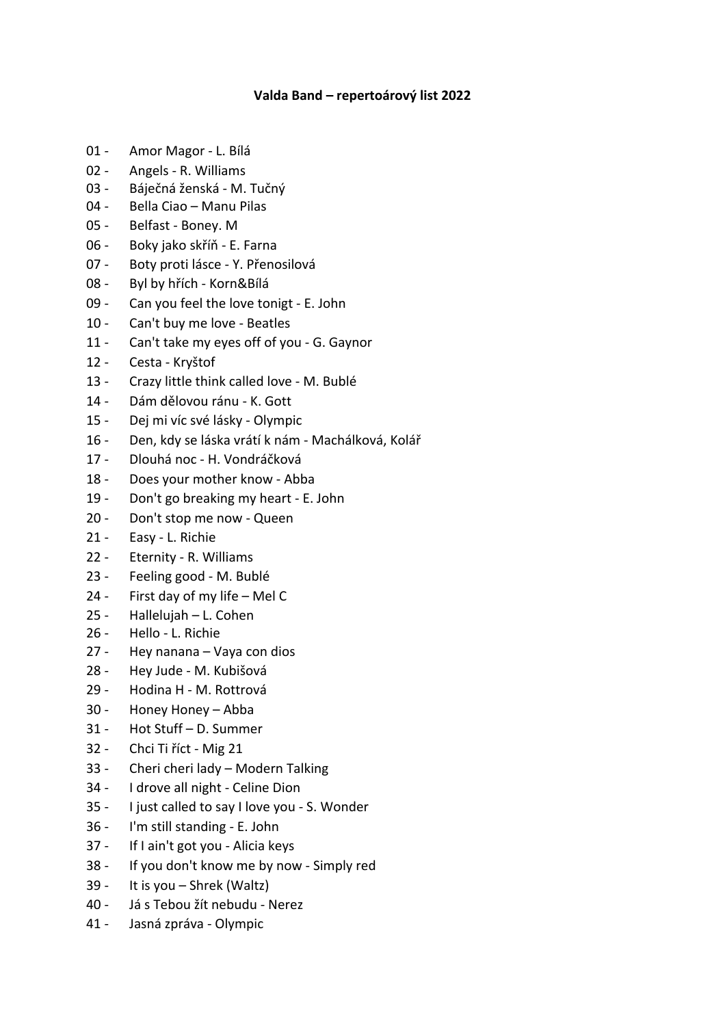## **Valda Band – repertoárový list 2022**

- 01 Amor Magor L. Bílá
- 02 Angels R. Williams
- 03 Báječná ženská M. Tučný
- 04 Bella Ciao Manu Pilas
- 05 Belfast Boney. M
- 06 Boky jako skříň E. Farna
- 07 Boty proti lásce Y. Přenosilová
- 08 Byl by hřích Korn&Bílá
- 09 Can you feel the love tonigt E. John
- 10 Can't buy me love Beatles
- 11 Can't take my eyes off of you G. Gaynor
- 12 Cesta Kryštof
- 13 Crazy little think called love M. Bublé
- 14 Dám dělovou ránu K. Gott
- 15 Dej mi víc své lásky Olympic
- 16 Den, kdy se láska vrátí k nám Machálková, Kolář
- 17 Dlouhá noc H. Vondráčková
- 18 Does your mother know Abba
- 19 Don't go breaking my heart E. John
- 20 Don't stop me now Queen
- 21 Easy L. Richie
- 22 Eternity R. Williams
- 23 Feeling good M. Bublé
- 24 First day of my life Mel C
- 25 Hallelujah L. Cohen
- 26 Hello L. Richie
- 27 Hey nanana Vaya con dios
- 28 Hey Jude M. Kubišová
- 29 Hodina H M. Rottrová
- 30 Honey Honey Abba
- 31 Hot Stuff D. Summer
- 32 Chci Ti říct Mig 21
- 33 Cheri cheri lady Modern Talking
- 34 I drove all night Celine Dion
- 35 I just called to say I love you S. Wonder
- 36 I'm still standing E. John
- 37 If I ain't got you Alicia keys
- 38 If you don't know me by now Simply red
- 39 It is you Shrek (Waltz)
- 40 Já s Tebou žít nebudu Nerez
- 41 Jasná zpráva Olympic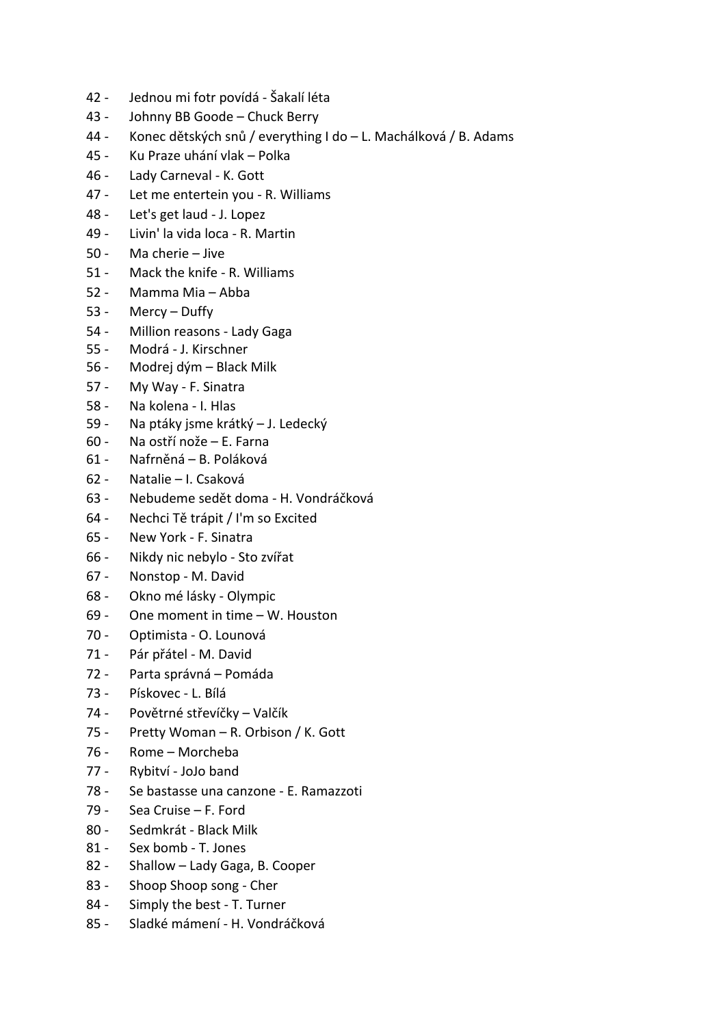- 42 Jednou mi fotr povídá Šakalí léta
- 43 Johnny BB Goode Chuck Berry
- 44 Konec dětských snů / everything I do L. Machálková / B. Adams
- 45 Ku Praze uhání vlak Polka
- 46 Lady Carneval K. Gott
- 47 Let me entertein you R. Williams
- 48 Let's get laud J. Lopez
- 49 Livin' la vida loca R. Martin
- 50 Ma cherie Jive
- 51 Mack the knife R. Williams
- 52 Mamma Mia Abba
- 53 Mercy Duffy
- 54 Million reasons Lady Gaga
- 55 Modrá J. Kirschner
- 56 Modrej dým Black Milk
- 57 My Way F. Sinatra
- 58 Na kolena I. Hlas
- 59 Na ptáky jsme krátký J. Ledecký
- 60 Na ostří nože E. Farna
- 61 Nafrněná B. Poláková
- 62 Natalie I. Csaková
- 63 Nebudeme sedět doma H. Vondráčková
- 64 Nechci Tě trápit / I'm so Excited
- 65 New York F. Sinatra
- 66 Nikdy nic nebylo Sto zvířat
- 67 Nonstop M. David
- 68 Okno mé lásky Olympic
- 69 One moment in time W. Houston
- 70 Optimista O. Lounová
- 71 Pár přátel M. David
- 72 Parta správná Pomáda
- 73 Pískovec L. Bílá
- 74 Povětrné střevíčky Valčík
- 75 Pretty Woman R. Orbison / K. Gott
- 76 Rome Morcheba
- 77 Rybitví JoJo band
- 78 Se bastasse una canzone E. Ramazzoti
- 79 Sea Cruise F. Ford
- 80 Sedmkrát Black Milk
- 81 Sex bomb T. Jones
- 82 Shallow Lady Gaga, B. Cooper
- 83 Shoop Shoop song Cher
- 84 Simply the best T. Turner
- 85 Sladké mámení H. Vondráčková